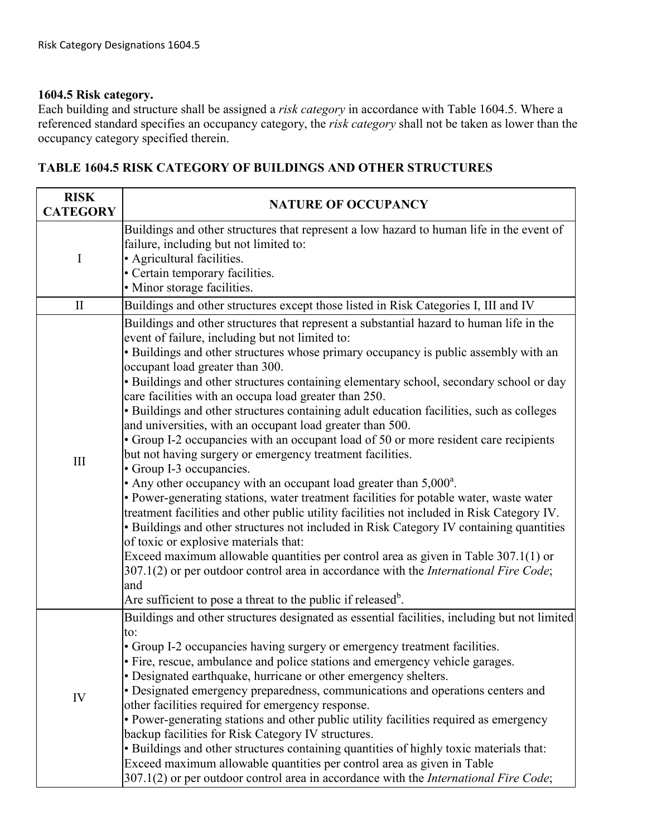## **1604.5 Risk category.**

Each building and structure shall be assigned a *risk category* in accordance with Table 1604.5. Where a referenced standard specifies an occupancy category, the *risk category* shall not be taken as lower than the occupancy category specified therein.

## failure, including but not limited to:<br>• Agricultural facilities. II Buildings and other structures except those listed in Risk Categories I, III and IV event of failure, including but not limited to: Exceed maximum allowable quantities per control area as given in Table  $307.1(1)$  or 307.1(2) or per outdoor control area in accordance with the *International Fire Code*;  $\mathsf{to}$ : Exceed maximum allowable quantities per control area as given in Table 307.1(2) or per outdoor control area in accordance with the *International Fire Code*; **RISK CATEGORY NATURE OF OCCUPANCY** I Buildings and other structures that represent a low hazard to human life in the event of • Certain temporary facilities. • Minor storage facilities. III Buildings and other structures that represent a substantial hazard to human life in the • Buildings and other structures whose primary occupancy is public assembly with an occupant load greater than 300. • Buildings and other structures containing elementary school, secondary school or day care facilities with an occupa load greater than 250. • Buildings and other structures containing adult education facilities, such as colleges and universities, with an occupant load greater than 500. • Group I-2 occupancies with an occupant load of 50 or more resident care recipients but not having surgery or emergency treatment facilities. • Group I-3 occupancies. • Any other occupancy with an occupant load greater than  $5,000^a$ . • Power-generating stations, water treatment facilities for potable water, waste water treatment facilities and other public utility facilities not included in Risk Category IV. • Buildings and other structures not included in Risk Category IV containing quantities of toxic or explosive materials that: and Are sufficient to pose a threat to the public if released<sup>b</sup>. IV Buildings and other structures designated as essential facilities, including but not limited • Group I-2 occupancies having surgery or emergency treatment facilities. • Fire, rescue, ambulance and police stations and emergency vehicle garages. • Designated earthquake, hurricane or other emergency shelters. • Designated emergency preparedness, communications and operations centers and other facilities required for emergency response. • Power-generating stations and other public utility facilities required as emergency backup facilities for Risk Category IV structures. • Buildings and other structures containing quantities of highly toxic materials that:

## **TABLE 1604.5 RISK CATEGORY OF BUILDINGS AND OTHER STRUCTURES**